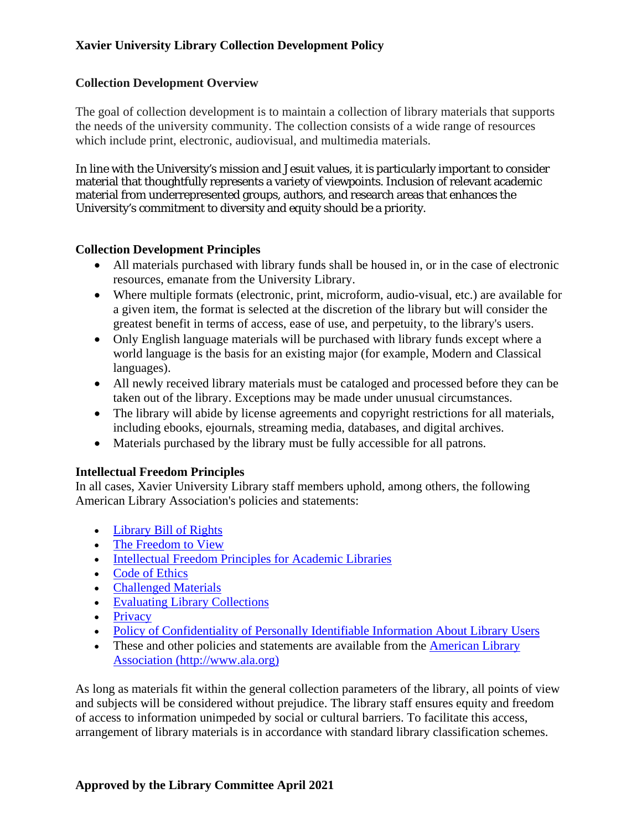#### **Collection Development Overview**

The goal of collection development is to maintain a collection of library materials that supports the needs of the university community. The collection consists of a wide range of resources which include print, electronic, audiovisual, and multimedia materials.

In line with the University's mission and Jesuit values, it is particularly important to consider material that thoughtfully represents a variety of viewpoints. Inclusion of relevant academic material from underrepresented groups, authors, and research areas that enhances the University's commitment to diversity and equity should be a priority.

#### **Collection Development Principles**

- All materials purchased with library funds shall be housed in, or in the case of electronic resources, emanate from the University Library.
- Where multiple formats (electronic, print, microform, audio-visual, etc.) are available for a given item, the format is selected at the discretion of the library but will consider the greatest benefit in terms of access, ease of use, and perpetuity, to the library's users.
- Only English language materials will be purchased with library funds except where a world language is the basis for an existing major (for example, Modern and Classical languages).
- All newly received library materials must be cataloged and processed before they can be taken out of the library. Exceptions may be made under unusual circumstances.
- The library will abide by license agreements and copyright restrictions for all materials, including ebooks, ejournals, streaming media, databases, and digital archives.
- Materials purchased by the library must be fully accessible for all patrons.

### **Intellectual Freedom Principles**

In all cases, Xavier University Library staff members uphold, among others, the following American Library Association's policies and statements:

- Library Bill of Rights
- The Freedom to View
- Intellectual Freedom Principles for Academic Libraries
- Code of Ethics
- Challenged Materials
- Evaluating Library Collections
- Privacy
- Policy of Confidentiality of Personally Identifiable Information About Library Users
- These and other policies and statements are available from the American Library Association (http://www.ala.org)

As long as materials fit within the general collection parameters of the library, all points of view and subjects will be considered without prejudice. The library staff ensures equity and freedom of access to information unimpeded by social or cultural barriers. To facilitate this access, arrangement of library materials is in accordance with standard library classification schemes.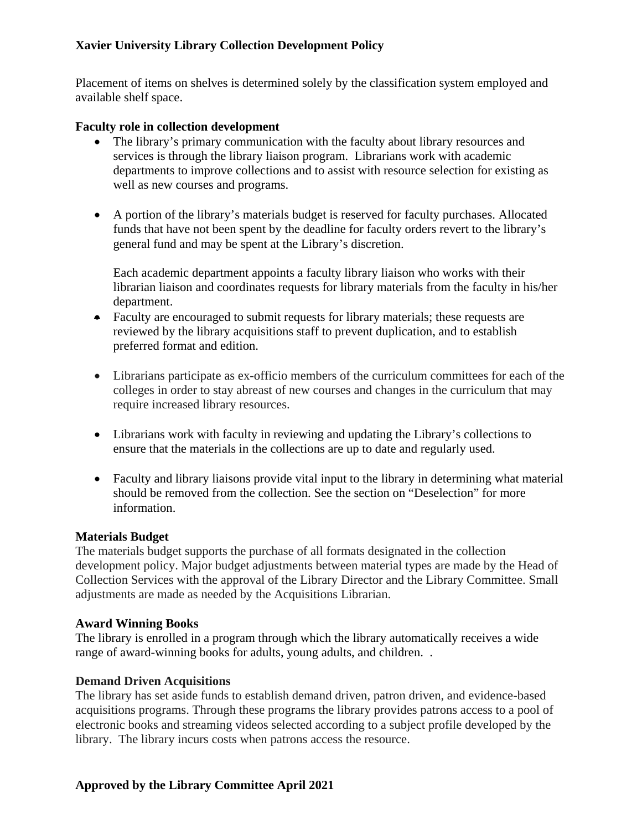Placement of items on shelves is determined solely by the classification system employed and available shelf space.

#### **Faculty role in collection development**

- The library's primary communication with the faculty about library resources and services is through the library liaison program. Librarians work with academic departments to improve collections and to assist with resource selection for existing as well as new courses and programs.
- A portion of the library's materials budget is reserved for faculty purchases. Allocated funds that have not been spent by the deadline for faculty orders revert to the library's general fund and may be spent at the Library's discretion.

Each academic department appoints a faculty library liaison who works with their librarian liaison and coordinates requests for library materials from the faculty in his/her department.

- Faculty are encouraged to submit requests for library materials; these requests are reviewed by the library acquisitions staff to prevent duplication, and to establish preferred format and edition.
- Librarians participate as ex-officio members of the curriculum committees for each of the colleges in order to stay abreast of new courses and changes in the curriculum that may require increased library resources.
- Librarians work with faculty in reviewing and updating the Library's collections to ensure that the materials in the collections are up to date and regularly used.
- Faculty and library liaisons provide vital input to the library in determining what material should be removed from the collection. See the section on "Deselection" for more information.

### **Materials Budget**

The materials budget supports the purchase of all formats designated in the collection development policy. Major budget adjustments between material types are made by the Head of Collection Services with the approval of the Library Director and the Library Committee. Small adjustments are made as needed by the Acquisitions Librarian.

#### **Award Winning Books**

The library is enrolled in a program through which the library automatically receives a wide range of award-winning books for adults, young adults, and children. .

### **Demand Driven Acquisitions**

The library has set aside funds to establish demand driven, patron driven, and evidence-based acquisitions programs. Through these programs the library provides patrons access to a pool of electronic books and streaming videos selected according to a subject profile developed by the library. The library incurs costs when patrons access the resource.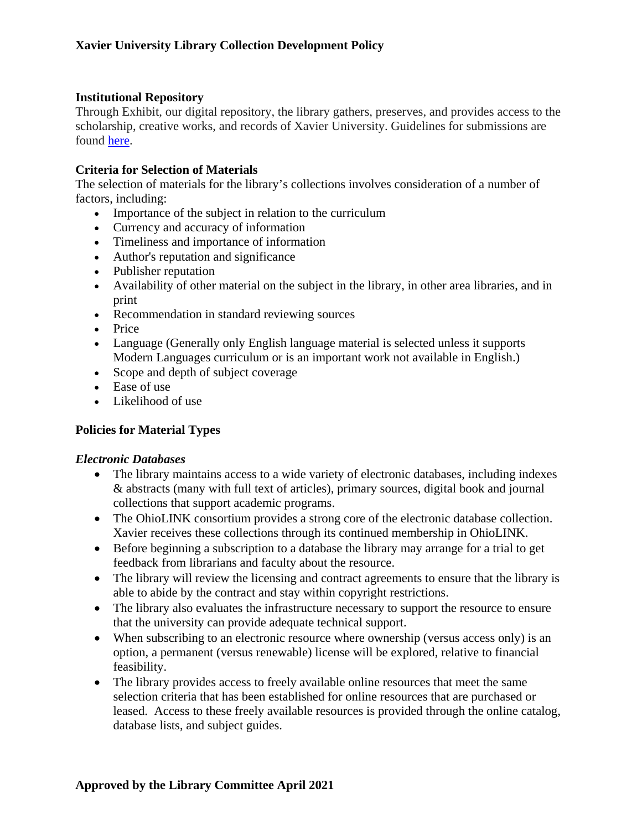#### **Institutional Repository**

Through Exhibit, our digital repository, the library gathers, preserves, and provides access to the scholarship, creative works, and records of Xavier University. Guidelines for submissions are found [here.](http://www.exhibit.xavier.edu/guidelines.html)

#### **Criteria for Selection of Materials**

The selection of materials for the library's collections involves consideration of a number of factors, including:

- Importance of the subject in relation to the curriculum
- Currency and accuracy of information
- Timeliness and importance of information
- Author's reputation and significance
- Publisher reputation
- Availability of other material on the subject in the library, in other area libraries, and in print
- Recommendation in standard reviewing sources
- Price
- Language (Generally only English language material is selected unless it supports Modern Languages curriculum or is an important work not available in English.)
- Scope and depth of subject coverage
- Ease of use
- Likelihood of use

### **Policies for Material Types**

### *Electronic Databases*

- The library maintains access to a wide variety of electronic databases, including indexes & abstracts (many with full text of articles), primary sources, digital book and journal collections that support academic programs.
- The OhioLINK consortium provides a strong core of the electronic database collection. Xavier receives these collections through its continued membership in OhioLINK.
- Before beginning a subscription to a database the library may arrange for a trial to get feedback from librarians and faculty about the resource.
- The library will review the licensing and contract agreements to ensure that the library is able to abide by the contract and stay within copyright restrictions.
- The library also evaluates the infrastructure necessary to support the resource to ensure that the university can provide adequate technical support.
- When subscribing to an electronic resource where ownership (versus access only) is an option, a permanent (versus renewable) license will be explored, relative to financial feasibility.
- The library provides access to freely available online resources that meet the same selection criteria that has been established for online resources that are purchased or leased. Access to these freely available resources is provided through the online catalog, database lists, and subject guides.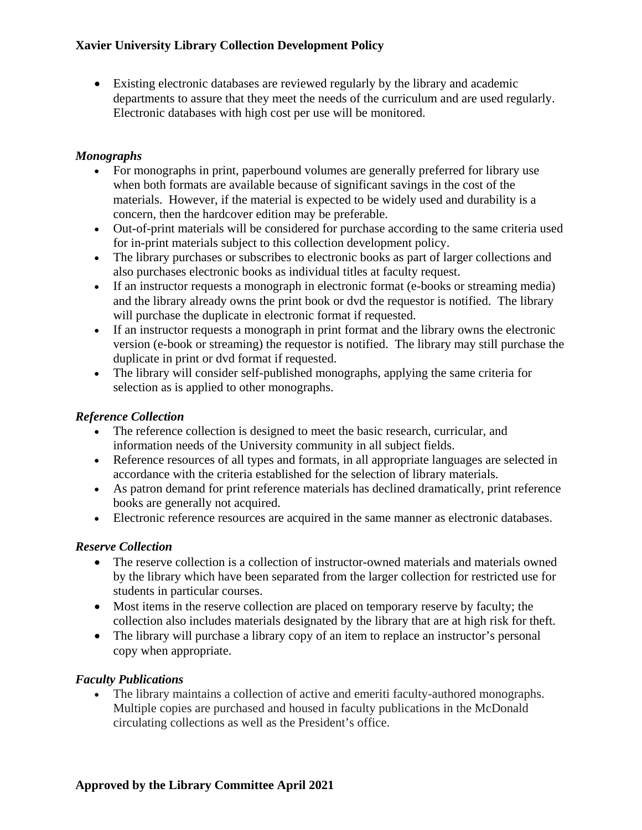• Existing electronic databases are reviewed regularly by the library and academic departments to assure that they meet the needs of the curriculum and are used regularly. Electronic databases with high cost per use will be monitored.

# *Monographs*

- For monographs in print, paperbound volumes are generally preferred for library use when both formats are available because of significant savings in the cost of the materials. However, if the material is expected to be widely used and durability is a concern, then the hardcover edition may be preferable.
- Out-of-print materials will be considered for purchase according to the same criteria used for in-print materials subject to this collection development policy.
- The library purchases or subscribes to electronic books as part of larger collections and also purchases electronic books as individual titles at faculty request.
- If an instructor requests a monograph in electronic format (e-books or streaming media) and the library already owns the print book or dvd the requestor is notified. The library will purchase the duplicate in electronic format if requested.
- If an instructor requests a monograph in print format and the library owns the electronic version (e-book or streaming) the requestor is notified. The library may still purchase the duplicate in print or dvd format if requested.
- The library will consider self-published monographs, applying the same criteria for selection as is applied to other monographs.

### *Reference Collection*

- The reference collection is designed to meet the basic research, curricular, and information needs of the University community in all subject fields.
- Reference resources of all types and formats, in all appropriate languages are selected in accordance with the criteria established for the selection of library materials.
- As patron demand for print reference materials has declined dramatically, print reference books are generally not acquired.
- Electronic reference resources are acquired in the same manner as electronic databases.

# *Reserve Collection*

- The reserve collection is a collection of instructor-owned materials and materials owned by the library which have been separated from the larger collection for restricted use for students in particular courses.
- Most items in the reserve collection are placed on temporary reserve by faculty; the collection also includes materials designated by the library that are at high risk for theft.
- The library will purchase a library copy of an item to replace an instructor's personal copy when appropriate.

# *Faculty Publications*

• The library maintains a collection of active and emeriti faculty-authored monographs. Multiple copies are purchased and housed in faculty publications in the McDonald circulating collections as well as the President's office.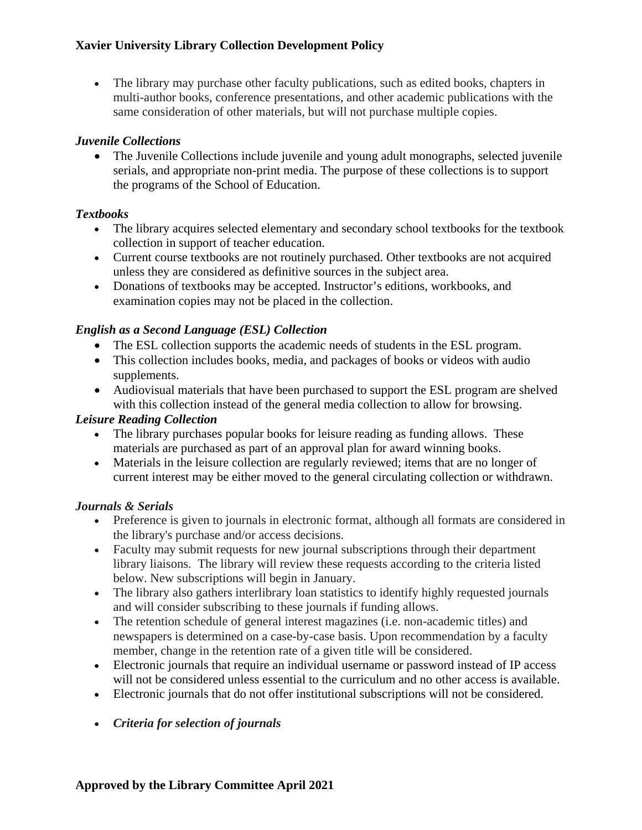• The library may purchase other faculty publications, such as edited books, chapters in multi-author books, conference presentations, and other academic publications with the same consideration of other materials, but will not purchase multiple copies.

# *Juvenile Collections*

• The Juvenile Collections include juvenile and young adult monographs, selected juvenile serials, and appropriate non-print media. The purpose of these collections is to support the programs of the School of Education.

# *Textbooks*

- The library acquires selected elementary and secondary school textbooks for the textbook collection in support of teacher education.
- Current course textbooks are not routinely purchased. Other textbooks are not acquired unless they are considered as definitive sources in the subject area.
- Donations of textbooks may be accepted. Instructor's editions, workbooks, and examination copies may not be placed in the collection.

# *English as a Second Language (ESL) Collection*

- The ESL collection supports the academic needs of students in the ESL program.
- This collection includes books, media, and packages of books or videos with audio supplements.
- Audiovisual materials that have been purchased to support the ESL program are shelved with this collection instead of the general media collection to allow for browsing.

### *Leisure Reading Collection*

- The library purchases popular books for leisure reading as funding allows. These materials are purchased as part of an approval plan for award winning books.
- Materials in the leisure collection are regularly reviewed; items that are no longer of current interest may be either moved to the general circulating collection or withdrawn.

### *Journals & Serials*

- Preference is given to journals in electronic format, although all formats are considered in the library's purchase and/or access decisions.
- Faculty may submit requests for new journal subscriptions through their department library liaisons. The library will review these requests according to the criteria listed below. New subscriptions will begin in January.
- The library also gathers interlibrary loan statistics to identify highly requested journals and will consider subscribing to these journals if funding allows.
- The retention schedule of general interest magazines (i.e. non-academic titles) and newspapers is determined on a case-by-case basis. Upon recommendation by a faculty member, change in the retention rate of a given title will be considered.
- Electronic journals that require an individual username or password instead of IP access will not be considered unless essential to the curriculum and no other access is available.
- Electronic journals that do not offer institutional subscriptions will not be considered.
- *Criteria for selection of journals*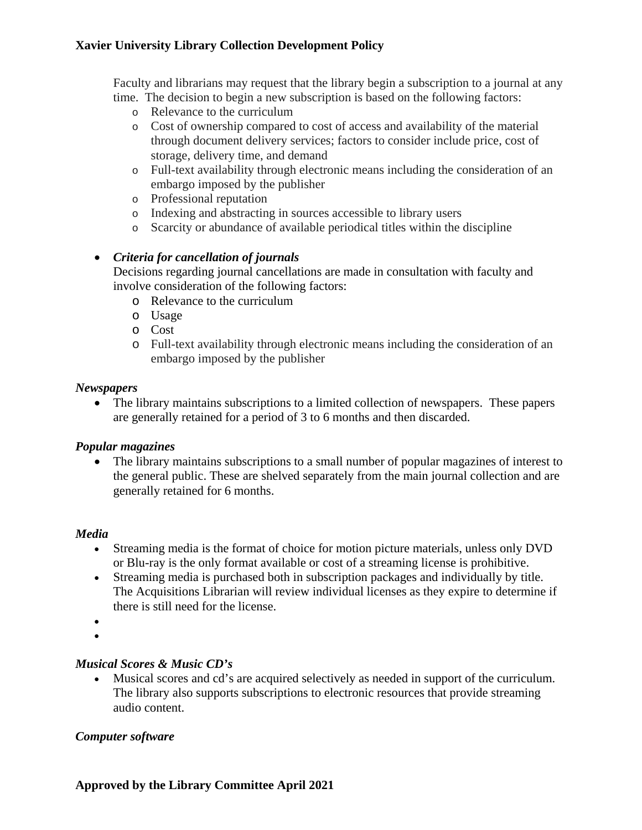Faculty and librarians may request that the library begin a subscription to a journal at any time. The decision to begin a new subscription is based on the following factors:

- o Relevance to the curriculum
- o Cost of ownership compared to cost of access and availability of the material through document delivery services; factors to consider include price, cost of storage, delivery time, and demand
- o Full-text availability through electronic means including the consideration of an embargo imposed by the publisher
- o Professional reputation
- o Indexing and abstracting in sources accessible to library users
- o Scarcity or abundance of available periodical titles within the discipline

# • *Criteria for cancellation of journals*

Decisions regarding journal cancellations are made in consultation with faculty and involve consideration of the following factors:

- o Relevance to the curriculum
- o Usage
- o Cost
- o Full-text availability through electronic means including the consideration of an embargo imposed by the publisher

#### *Newspapers*

• The library maintains subscriptions to a limited collection of newspapers. These papers are generally retained for a period of 3 to 6 months and then discarded.

### *Popular magazines*

• The library maintains subscriptions to a small number of popular magazines of interest to the general public. These are shelved separately from the main journal collection and are generally retained for 6 months.

#### *Media*

- Streaming media is the format of choice for motion picture materials, unless only DVD or Blu-ray is the only format available or cost of a streaming license is prohibitive.
- Streaming media is purchased both in subscription packages and individually by title. The Acquisitions Librarian will review individual licenses as they expire to determine if there is still need for the license.
- •
- •

#### *Musical Scores & Music CD's*

• Musical scores and cd's are acquired selectively as needed in support of the curriculum. The library also supports subscriptions to electronic resources that provide streaming audio content.

### *Computer software*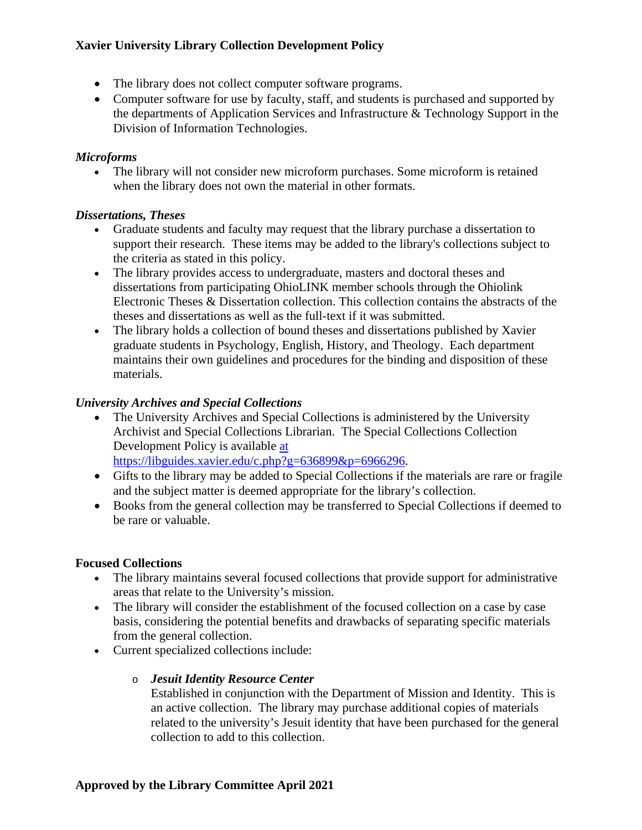- The library does not collect computer software programs.
- Computer software for use by faculty, staff, and students is purchased and supported by the departments of Application Services and Infrastructure & Technology Support in the Division of Information Technologies.

### *Microforms*

• The library will not consider new microform purchases. Some microform is retained when the library does not own the material in other formats.

# *Dissertations, Theses*

- Graduate students and faculty may request that the library purchase a dissertation to support their research. These items may be added to the library's collections subject to the criteria as stated in this policy.
- The library provides access to undergraduate, masters and doctoral theses and dissertations from participating OhioLINK member schools through the Ohiolink Electronic Theses & Dissertation collection. This collection contains the abstracts of the theses and dissertations as well as the full-text if it was submitted.
- The library holds a collection of bound theses and dissertations published by Xavier graduate students in Psychology, English, History, and Theology. Each department maintains their own guidelines and procedures for the binding and disposition of these materials.

# *University Archives and Special Collections*

- The University Archives and Special Collections is administered by the University Archivist and Special Collections Librarian. The Special Collections Collection Development Policy is available [at](http://www.xavier.edu/library/about/Archives-Collection-Policy.cfm) https://libguides.xavier.edu/c.php?g=636899&p=6966296.
- Gifts to the library may be added to Special Collections if the materials are rare or fragile and the subject matter is deemed appropriate for the library's collection.
- Books from the general collection may be transferred to Special Collections if deemed to be rare or valuable.

# **Focused Collections**

- The library maintains several focused collections that provide support for administrative areas that relate to the University's mission.
- The library will consider the establishment of the focused collection on a case by case basis, considering the potential benefits and drawbacks of separating specific materials from the general collection.
- Current specialized collections include:

# o *Jesuit Identity Resource Center*

Established in conjunction with the Department of Mission and Identity. This is an active collection. The library may purchase additional copies of materials related to the university's Jesuit identity that have been purchased for the general collection to add to this collection.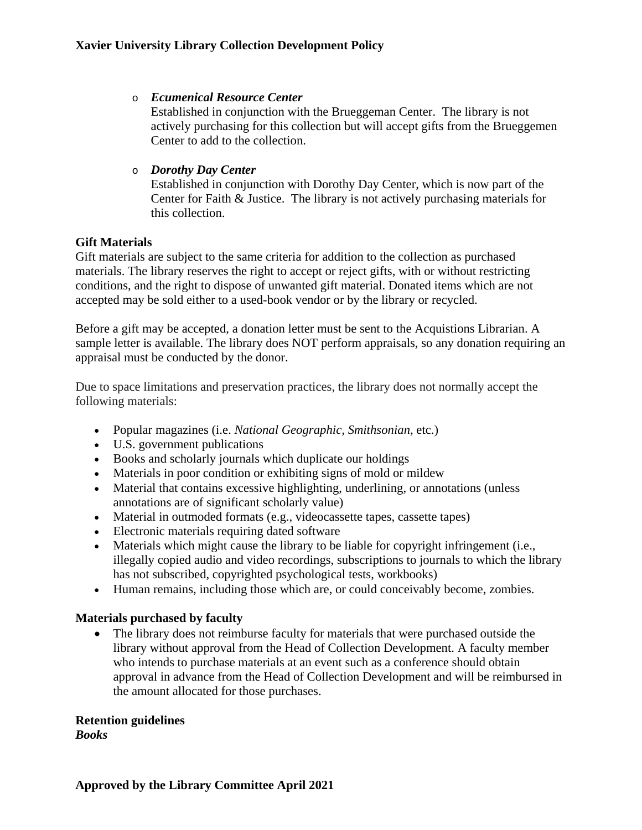#### o *Ecumenical Resource Center*

Established in conjunction with the Brueggeman Center. The library is not actively purchasing for this collection but will accept gifts from the Brueggemen Center to add to the collection.

### o *Dorothy Day Center*

Established in conjunction with Dorothy Day Center, which is now part of the Center for Faith & Justice. The library is not actively purchasing materials for this collection.

# **Gift Materials**

Gift materials are subject to the same criteria for addition to the collection as purchased materials. The library reserves the right to accept or reject gifts, with or without restricting conditions, and the right to dispose of unwanted gift material. Donated items which are not accepted may be sold either to a used-book vendor or by the library or recycled.

Before a gift may be accepted, a donation letter must be sent to the Acquistions Librarian. A sample letter is available. The library does NOT perform appraisals, so any donation requiring an appraisal must be conducted by the donor.

Due to space limitations and preservation practices, the library does not normally accept the following materials:

- Popular magazines (i.e. *National Geographic, Smithsonian*, etc.)
- U.S. government publications
- Books and scholarly journals which duplicate our holdings
- Materials in poor condition or exhibiting signs of mold or mildew
- Material that contains excessive highlighting, underlining, or annotations (unless annotations are of significant scholarly value)
- Material in outmoded formats (e.g., videocassette tapes, cassette tapes)
- Electronic materials requiring dated software
- Materials which might cause the library to be liable for copyright infringement (i.e., illegally copied audio and video recordings, subscriptions to journals to which the library has not subscribed, copyrighted psychological tests, workbooks)
- Human remains, including those which are, or could conceivably become, zombies.

### **Materials purchased by faculty**

• The library does not reimburse faculty for materials that were purchased outside the library without approval from the Head of Collection Development. A faculty member who intends to purchase materials at an event such as a conference should obtain approval in advance from the Head of Collection Development and will be reimbursed in the amount allocated for those purchases.

### **Retention guidelines**

*Books*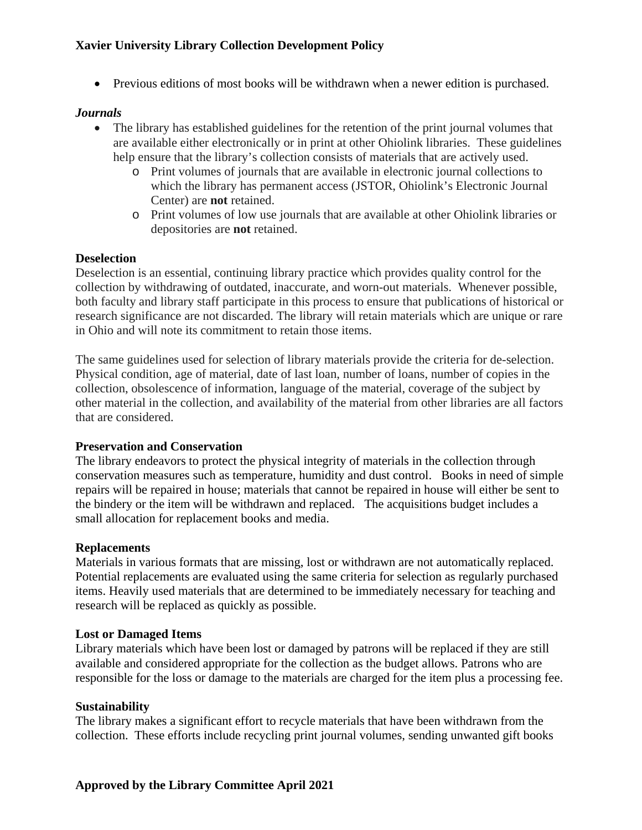• Previous editions of most books will be withdrawn when a newer edition is purchased.

#### *Journals*

- The library has established guidelines for the retention of the print journal volumes that are available either electronically or in print at other Ohiolink libraries. These guidelines help ensure that the library's collection consists of materials that are actively used.
	- o Print volumes of journals that are available in electronic journal collections to which the library has permanent access (JSTOR, Ohiolink's Electronic Journal Center) are **not** retained.
	- o Print volumes of low use journals that are available at other Ohiolink libraries or depositories are **not** retained.

#### **Deselection**

Deselection is an essential, continuing library practice which provides quality control for the collection by withdrawing of outdated, inaccurate, and worn-out materials. Whenever possible, both faculty and library staff participate in this process to ensure that publications of historical or research significance are not discarded. The library will retain materials which are unique or rare in Ohio and will note its commitment to retain those items.

The same guidelines used for selection of library materials provide the criteria for de-selection. Physical condition, age of material, date of last loan, number of loans, number of copies in the collection, obsolescence of information, language of the material, coverage of the subject by other material in the collection, and availability of the material from other libraries are all factors that are considered.

#### **Preservation and Conservation**

The library endeavors to protect the physical integrity of materials in the collection through conservation measures such as temperature, humidity and dust control. Books in need of simple repairs will be repaired in house; materials that cannot be repaired in house will either be sent to the bindery or the item will be withdrawn and replaced. The acquisitions budget includes a small allocation for replacement books and media.

#### **Replacements**

Materials in various formats that are missing, lost or withdrawn are not automatically replaced. Potential replacements are evaluated using the same criteria for selection as regularly purchased items. Heavily used materials that are determined to be immediately necessary for teaching and research will be replaced as quickly as possible.

#### **Lost or Damaged Items**

Library materials which have been lost or damaged by patrons will be replaced if they are still available and considered appropriate for the collection as the budget allows. Patrons who are responsible for the loss or damage to the materials are charged for the item plus a processing fee.

#### **Sustainability**

The library makes a significant effort to recycle materials that have been withdrawn from the collection. These efforts include recycling print journal volumes, sending unwanted gift books